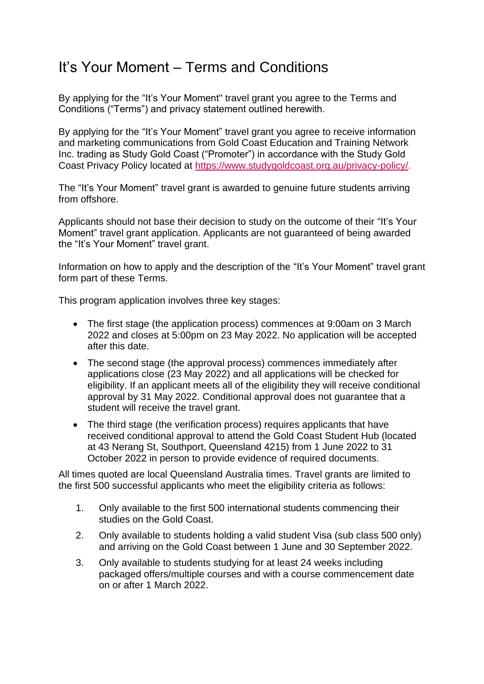# It's Your Moment – Terms and Conditions

By applying for the "It's Your Moment" travel grant you agree to the Terms and Conditions ("Terms") and privacy statement outlined herewith.

By applying for the "It's Your Moment" travel grant you agree to receive information and marketing communications from Gold Coast Education and Training Network Inc. trading as Study Gold Coast ("Promoter") in accordance with the Study Gold Coast Privacy Policy located at [https://www.studygoldcoast.org.au/privacy-policy/.](https://www.studygoldcoast.org.au/privacy-policy/)

The "It's Your Moment" travel grant is awarded to genuine future students arriving from offshore.

Applicants should not base their decision to study on the outcome of their "It's Your Moment" travel grant application. Applicants are not guaranteed of being awarded the "It's Your Moment" travel grant.

Information on how to apply and the description of the "It's Your Moment" travel grant form part of these Terms.

This program application involves three key stages:

- The first stage (the application process) commences at 9:00am on 3 March 2022 and closes at 5:00pm on 23 May 2022. No application will be accepted after this date.
- The second stage (the approval process) commences immediately after applications close (23 May 2022) and all applications will be checked for eligibility. If an applicant meets all of the eligibility they will receive conditional approval by 31 May 2022. Conditional approval does not guarantee that a student will receive the travel grant.
- The third stage (the verification process) requires applicants that have received conditional approval to attend the Gold Coast Student Hub (located at 43 Nerang St, Southport, Queensland 4215) from 1 June 2022 to 31 October 2022 in person to provide evidence of required documents.

All times quoted are local Queensland Australia times. Travel grants are limited to the first 500 successful applicants who meet the eligibility criteria as follows:

- 1. Only available to the first 500 international students commencing their studies on the Gold Coast.
- 2. Only available to students holding a valid student Visa (sub class 500 only) and arriving on the Gold Coast between 1 June and 30 September 2022.
- 3. Only available to students studying for at least 24 weeks including packaged offers/multiple courses and with a course commencement date on or after 1 March 2022.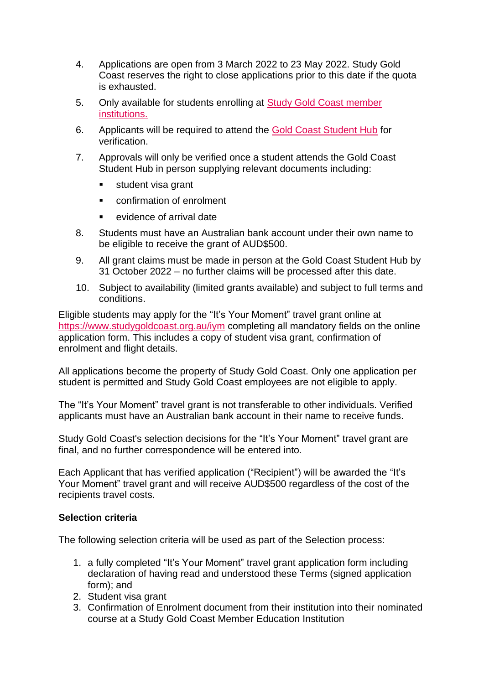- 4. Applications are open from 3 March 2022 to 23 May 2022. Study Gold Coast reserves the right to close applications prior to this date if the quota is exhausted.
- 5. Only available for students enrolling at [Study Gold Coast member](https://www.studygoldcoast.org.au/corporate/members/our-members/)  [institutions.](https://www.studygoldcoast.org.au/corporate/members/our-members/)
- 6. Applicants will be required to attend the [Gold Coast Student Hub](https://www.goldcoaststudenthub.com/support/) for verification.
- 7. Approvals will only be verified once a student attends the Gold Coast Student Hub in person supplying relevant documents including:
	- student visa grant
	- confirmation of enrolment
	- evidence of arrival date
- 8. Students must have an Australian bank account under their own name to be eligible to receive the grant of AUD\$500.
- 9. All grant claims must be made in person at the Gold Coast Student Hub by 31 October 2022 – no further claims will be processed after this date.
- 10. Subject to availability (limited grants available) and subject to full terms and conditions.

Eligible students may apply for the "It's Your Moment" travel grant online at <https://www.studygoldcoast.org.au/iym> completing all mandatory fields on the online application form. This includes a copy of student visa grant, confirmation of enrolment and flight details.

All applications become the property of Study Gold Coast. Only one application per student is permitted and Study Gold Coast employees are not eligible to apply.

The "It's Your Moment" travel grant is not transferable to other individuals. Verified applicants must have an Australian bank account in their name to receive funds.

Study Gold Coast's selection decisions for the "It's Your Moment" travel grant are final, and no further correspondence will be entered into.

Each Applicant that has verified application ("Recipient") will be awarded the "It's Your Moment" travel grant and will receive AUD\$500 regardless of the cost of the recipients travel costs.

## **Selection criteria**

The following selection criteria will be used as part of the Selection process:

- 1. a fully completed "It's Your Moment" travel grant application form including declaration of having read and understood these Terms (signed application form); and
- 2. Student visa grant
- 3. Confirmation of Enrolment document from their institution into their nominated course at a Study Gold Coast Member Education Institution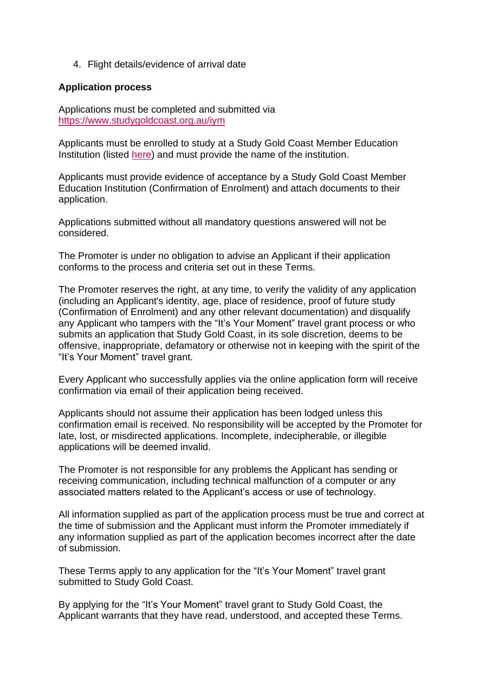4. Flight details/evidence of arrival date

#### **Application process**

Applications must be completed and submitted via <https://www.studygoldcoast.org.au/iym>

Applicants must be enrolled to study at a Study Gold Coast Member Education Institution (listed [here\)](https://www.studygoldcoast.org.au/corporate/members/our-members/) and must provide the name of the institution.

Applicants must provide evidence of acceptance by a Study Gold Coast Member Education Institution (Confirmation of Enrolment) and attach documents to their application.

Applications submitted without all mandatory questions answered will not be considered.

The Promoter is under no obligation to advise an Applicant if their application conforms to the process and criteria set out in these Terms.

The Promoter reserves the right, at any time, to verify the validity of any application (including an Applicant's identity, age, place of residence, proof of future study (Confirmation of Enrolment) and any other relevant documentation) and disqualify any Applicant who tampers with the "It's Your Moment" travel grant process or who submits an application that Study Gold Coast, in its sole discretion, deems to be offensive, inappropriate, defamatory or otherwise not in keeping with the spirit of the "It's Your Moment" travel grant.

Every Applicant who successfully applies via the online application form will receive confirmation via email of their application being received.

Applicants should not assume their application has been lodged unless this confirmation email is received. No responsibility will be accepted by the Promoter for late, lost, or misdirected applications. Incomplete, indecipherable, or illegible applications will be deemed invalid.

The Promoter is not responsible for any problems the Applicant has sending or receiving communication, including technical malfunction of a computer or any associated matters related to the Applicant's access or use of technology.

All information supplied as part of the application process must be true and correct at the time of submission and the Applicant must inform the Promoter immediately if any information supplied as part of the application becomes incorrect after the date of submission.

These Terms apply to any application for the "It's Your Moment" travel grant submitted to Study Gold Coast.

By applying for the "It's Your Moment" travel grant to Study Gold Coast, the Applicant warrants that they have read, understood, and accepted these Terms.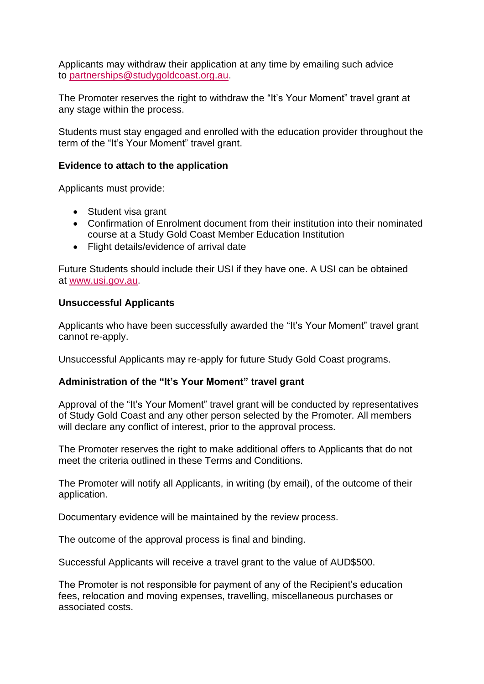Applicants may withdraw their application at any time by emailing such advice to [partnerships@studygoldcoast.org.au.](mailto:partnerships@studygoldcoast.org.au)

The Promoter reserves the right to withdraw the "It's Your Moment" travel grant at any stage within the process.

Students must stay engaged and enrolled with the education provider throughout the term of the "It's Your Moment" travel grant.

## **Evidence to attach to the application**

Applicants must provide:

- Student visa grant
- Confirmation of Enrolment document from their institution into their nominated course at a Study Gold Coast Member Education Institution
- Flight details/evidence of arrival date

Future Students should include their USI if they have one. A USI can be obtained at [www.usi.gov.au.](http://www.usi.gov.au/)

## **Unsuccessful Applicants**

Applicants who have been successfully awarded the "It's Your Moment" travel grant cannot re-apply.

Unsuccessful Applicants may re-apply for future Study Gold Coast programs.

## **Administration of the "It's Your Moment" travel grant**

Approval of the "It's Your Moment" travel grant will be conducted by representatives of Study Gold Coast and any other person selected by the Promoter. All members will declare any conflict of interest, prior to the approval process.

The Promoter reserves the right to make additional offers to Applicants that do not meet the criteria outlined in these Terms and Conditions.

The Promoter will notify all Applicants, in writing (by email), of the outcome of their application.

Documentary evidence will be maintained by the review process.

The outcome of the approval process is final and binding.

Successful Applicants will receive a travel grant to the value of AUD\$500.

The Promoter is not responsible for payment of any of the Recipient's education fees, relocation and moving expenses, travelling, miscellaneous purchases or associated costs.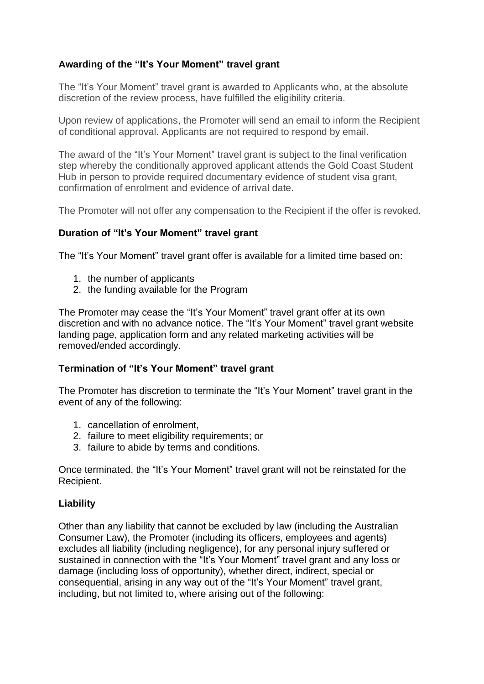# **Awarding of the "It's Your Moment" travel grant**

The "It's Your Moment" travel grant is awarded to Applicants who, at the absolute discretion of the review process, have fulfilled the eligibility criteria.

Upon review of applications, the Promoter will send an email to inform the Recipient of conditional approval. Applicants are not required to respond by email.

The award of the "It's Your Moment" travel grant is subject to the final verification step whereby the conditionally approved applicant attends the Gold Coast Student Hub in person to provide required documentary evidence of student visa grant, confirmation of enrolment and evidence of arrival date.

The Promoter will not offer any compensation to the Recipient if the offer is revoked.

## **Duration of "It's Your Moment" travel grant**

The "It's Your Moment" travel grant offer is available for a limited time based on:

- 1. the number of applicants
- 2. the funding available for the Program

The Promoter may cease the "It's Your Moment" travel grant offer at its own discretion and with no advance notice. The "It's Your Moment" travel grant website landing page, application form and any related marketing activities will be removed/ended accordingly.

## **Termination of "It's Your Moment" travel grant**

The Promoter has discretion to terminate the "It's Your Moment" travel grant in the event of any of the following:

- 1. cancellation of enrolment,
- 2. failure to meet eligibility requirements; or
- 3. failure to abide by terms and conditions.

Once terminated, the "It's Your Moment" travel grant will not be reinstated for the Recipient.

## **Liability**

Other than any liability that cannot be excluded by law (including the Australian Consumer Law), the Promoter (including its officers, employees and agents) excludes all liability (including negligence), for any personal injury suffered or sustained in connection with the "It's Your Moment" travel grant and any loss or damage (including loss of opportunity), whether direct, indirect, special or consequential, arising in any way out of the "It's Your Moment" travel grant, including, but not limited to, where arising out of the following: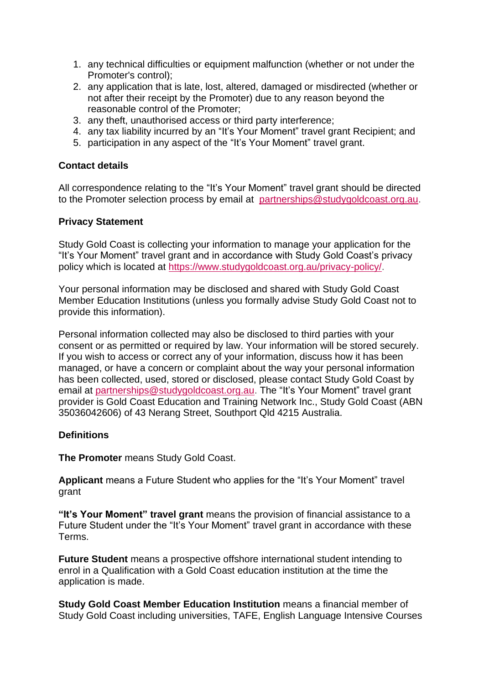- 1. any technical difficulties or equipment malfunction (whether or not under the Promoter's control);
- 2. any application that is late, lost, altered, damaged or misdirected (whether or not after their receipt by the Promoter) due to any reason beyond the reasonable control of the Promoter;
- 3. any theft, unauthorised access or third party interference;
- 4. any tax liability incurred by an "It's Your Moment" travel grant Recipient; and
- 5. participation in any aspect of the "It's Your Moment" travel grant.

## **Contact details**

All correspondence relating to the "It's Your Moment" travel grant should be directed to the Promoter selection process by email at [partnerships@studygoldcoast.org.au.](mailto:partnerships@studygoldcoast.org.au)

#### **Privacy Statement**

Study Gold Coast is collecting your information to manage your application for the "It's Your Moment" travel grant and in accordance with Study Gold Coast's privacy policy which is located at [https://www.studygoldcoast.org.au/privacy-policy/.](https://www.studygoldcoast.org.au/privacy-policy/)

Your personal information may be disclosed and shared with Study Gold Coast Member Education Institutions (unless you formally advise Study Gold Coast not to provide this information).

Personal information collected may also be disclosed to third parties with your consent or as permitted or required by law. Your information will be stored securely. If you wish to access or correct any of your information, discuss how it has been managed, or have a concern or complaint about the way your personal information has been collected, used, stored or disclosed, please contact Study Gold Coast by email at [partnerships@studygoldcoast.org.au.](mailto:partnerships@studygoldcoast.org.au) The "It's Your Moment" travel grant provider is Gold Coast Education and Training Network Inc., Study Gold Coast (ABN 35036042606) of 43 Nerang Street, Southport Qld 4215 Australia.

## **Definitions**

**The Promoter** means Study Gold Coast.

**Applicant** means a Future Student who applies for the "It's Your Moment" travel grant

**"It's Your Moment" travel grant** means the provision of financial assistance to a Future Student under the "It's Your Moment" travel grant in accordance with these Terms.

**Future Student** means a prospective offshore international student intending to enrol in a Qualification with a Gold Coast education institution at the time the application is made.

**Study Gold Coast Member Education Institution** means a financial member of Study Gold Coast including universities, TAFE, English Language Intensive Courses